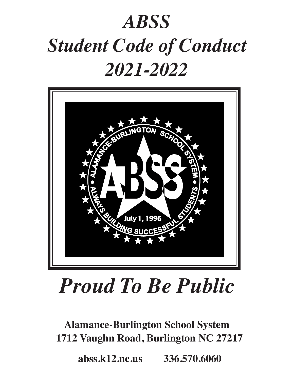# *ABSS Student Code of Conduct 2021-2022*



# *Proud To Be Public*

**Alamance-Burlington School System 1712 Vaughn Road, Burlington NC 27217**

 **abss.k12.nc.us 336.570.6060**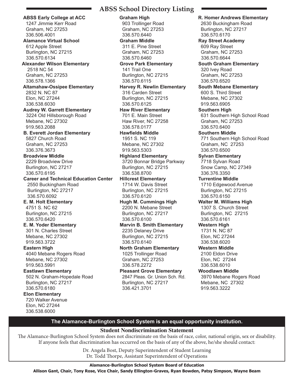**ABSS Early College at ACC** 1247 Jimmie Kerr Road Graham, NC 27253 336.506.4001  **Alamance Virtual School** 612 Apple Street Burlington, NC 27215 336.570.6134  **Alexander Wilson Elementary** 2518 NC 54 Graham, NC 27253 336.578.1366  **Altamahaw-Ossipee Elementary** 2832 N. NC 87 Elon, NC 27244 336.538.6030  **Audrey W. Garrett Elementary** 3224 Old Hillsborough Road Mebane, NC 27302 919.563.2088  **B. Everett Jordan Elementary** 5827 Church Road Graham, NC 27253 336.376.3673  **Broadview Middle** 2229 Broadview Drive Burlington, NC 27217 336.570.6195  **Career and Technical Education Center** 2550 Buckingham Road Burlington, NC 27217 336.570.6092  **E. M. Holt Elementary** 4751 S. NC 62 Burlington, NC 27215 336.570.6420  **E. M. Yoder Elementary** 301 N. Charles Street Mebane, NC 27302 919.563.3722  **Eastern High** 4040 Mebane Rogers Road Mebane, NC 27302 919.563.5991  **Eastlawn Elementary** 502 N. Graham-Hopedale Road Burlington, NC 27217 336.570.6180  **Elon Elementary** 720 Walker Avenue Elon, NC 27244 336.538.6000

## **ABSS School Directory Listing**

 **Graham High** 903 Trollinger Road Graham, NC 27253 336.570.6440  **Graham Middle** 311 E. Pine Street Graham, NC 27253 336.570.6460  **Grove Park Elementary** 141 Trail One Burlington, NC 27215 336.570.6115  **Harvey R. Newlin Elementary** 316 Carden Street Burlington, NC 27215 336.570.6125  **Haw River Elementary** 701 E. Main Street Haw River, NC 27258 336.578.0177  **Hawfields Middle** 1951 S. NC 119 Mebane, NC 27302 919.563.5303  **Highland Elementary** 3720 Bonnar Bridge Parkway Burlington, NC 27215 336.538.8700  **Hillcrest Elementary** 1714 W. Davis Street Burlington, NC 27215 336.570.6120  **Hugh M. Cummings High** 2200 N. Mebane Street Burlington, NC 27217 336.570.6100  **Marvin B. Smith Elementary** 2235 Delaney Drive Burlington, NC 27215 336.570.6140  **North Graham Elementary** 1025 Trollinger Road Graham, NC 27253 336.578.2272  **Pleasant Grove Elementary** 2847 Pleas. Gr. Union Sch. Rd. Burlington, NC 27217 336.421.3701

 **R. Homer Andrews Elementary** 2630 Buckingham Road Burlington, NC 27217 336.570.6170  **Ray Street Academy** 609 Ray Street Graham, NC 27253 336.570.6644  **South Graham Elementary** 320 Ivey Road Graham, NC 27253 336.570.6520  **South Mebane Elementary** 600 S. Third Street Mebane, NC 27302 919.563.6905  **Southern High** 631 Southern High School Road Graham, NC 27253 336.570.6400  **Southern Middle** 771 Southern High School Road Graham, NC 27253 336.570.6500  **Sylvan Elementary** 7718 Sylvan Road Snow Camp, NC 27349 336.376.3350  **Turrentine Middle** 1710 Edgewood Avenue Burlington, NC 27215 336.570.6150  **Walter M. Williams High** 1307 S. Church Street Burlington, NC 27215 336.570.6161  **Western High** 1731 N. NC 87 Elon, NC 27244 336.538.6020  **Western Middle** 2100 Eldon Drive Elon, NC 27244 336.538.6010  **Woodlawn Middle** 3970 Mebane Rogers Road Mebane, NC 27302 919.563.3222

#### **The Alamance-Burlington School System is an equal opportunity institution.**

#### **Student Nondiscrimination Statement**

The Alamance-Burlington School System does not discriminate on the basis of race, color, national origin, sex or disability. If anyone feels that discrimination has occurred on the basis of any of the above, he/she should contact:

> Dr. Angela Bost, Deputy Superintendent of Student Learning Dr. Todd Thorpe, Assistant Superintendent of Operations

**Alamance-Burlington School System Board of Education Allison Gant, Chair, Tony Rose, Vice Chair, Sandy Ellington-Graves, Ryan Bowden, Patsy Simpson, Wayne Beam**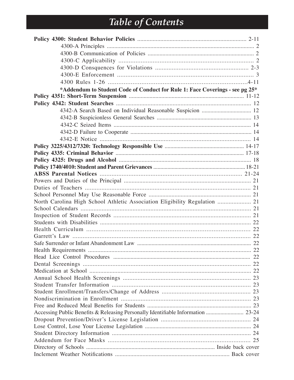## Table of Contents

| *Addendum to Student Code of Conduct for Rule 1: Face Coverings - see pg 25* |  |
|------------------------------------------------------------------------------|--|
|                                                                              |  |
|                                                                              |  |
| 4342-A Search Based on Individual Reasonable Suspicion  12                   |  |
|                                                                              |  |
|                                                                              |  |
|                                                                              |  |
|                                                                              |  |
|                                                                              |  |
|                                                                              |  |
|                                                                              |  |
|                                                                              |  |
|                                                                              |  |
|                                                                              |  |
|                                                                              |  |
|                                                                              |  |
| North Carolina High School Athletic Association Eligibility Regulation  21   |  |
|                                                                              |  |
|                                                                              |  |
|                                                                              |  |
|                                                                              |  |
|                                                                              |  |
|                                                                              |  |
|                                                                              |  |
|                                                                              |  |
|                                                                              |  |
|                                                                              |  |
|                                                                              |  |
|                                                                              |  |
|                                                                              |  |
|                                                                              |  |
|                                                                              |  |
|                                                                              |  |
|                                                                              |  |
|                                                                              |  |
|                                                                              |  |
|                                                                              |  |
|                                                                              |  |
|                                                                              |  |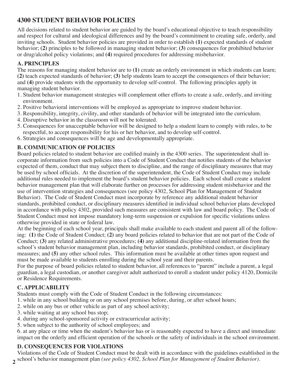## **4300 STUDENT BEHAVIOR POLICIES**

All decisions related to student behavior are guided by the board's educational objective to teach responsibility and respect for cultural and ideological differences and by the board's commitment to creating safe, orderly, and inviting schools. Student behavior policies are provided in order to establish **(1)** expected standards of student behavior; **(2)** principles to be followed in managing student behavior; **(3)** consequences for prohibited behavior or drug/alcohol policy violations; and **(4)** required procedures for addressing misbehavior.

## **A. PRINCIPLES**

The reasons for managing student behavior are to (1) create an orderly environment in which students can learn; **(2)** teach expected standards of behavior; **(3)** help students learn to accept the consequences of their behavior; and **(4)** provide students with the opportunity to develop self-control. The following principles apply in managing student behavior.

- 1. Student behavior management strategies will complement other efforts to create a safe, orderly, and inviting environment.
- 2. Positive behavioral interventions will be employed as appropriate to improve student behavior.
- 3. Responsibility, integrity, civility, and other standards of behavior will be integrated into the curriculum.
- 4. Disruptive behavior in the classroom will not be tolerated.
- 5. Consequences for unacceptable behavior will be designed to help a student learn to comply with rules, to be respectful, to accept responsibility for his or her behavior, and to develop self-control.
- 6. Strategies and consequences will be age and developmentally appropriate.

## **B. COMMUNICATION OF POLICIES**

Board policies related to student behavior are codified mainly in the 4300 series. The superintendent shall incorporate information from such policies into a Code of Student Conduct that notifies students of the behavior expected of them, conduct that may subject them to discipline, and the range of disciplinary measures that may be used by school officials. At the discretion of the superintendent, the Code of Student Conduct may include additional rules needed to implement the board's student behavior policies. Each school shall create a student behavior management plan that will elaborate further on processes for addressing student misbehavior and the use of intervention strategies and consequences (see policy 4302, School Plan for Management of Student Behavior). The Code of Student Conduct must incorporate by reference any additional student behavior standards, prohibited conduct, or disciplinary measures identified in individual school behavior plans developed in accordance with policy 4302, provided such measures are consistent with law and board policy. The Code of Student Conduct must not impose mandatory long-term suspension or expulsion for specific violations unless otherwise provided in state or federal law.

At the beginning of each school year, principals shall make available to each student and parent all of the following: **(1)** the Code of Student Conduct; **(2)** any board policies related to behavior that are not part of the Code of Conduct; **(3)** any related administrative procedures; **(4)** any additional discipline-related information from the school's student behavior management plan, including behavior standards, prohibited conduct, or disciplinary measures; and **(5)** any other school rules. This information must be available at other times upon request and must be made available to students enrolling during the school year and their parents.

For the purpose of board policies related to student behavior, all references to "parent" include a parent, a legal guardian, a legal custodian, or another caregiver adult authorized to enroll a student under policy 4120, Domicile or Residence Requirements.

## **C. APPLICABILITY**

Students must comply with the Code of Student Conduct in the following circumstances:

- 1. while in any school building or on any school premises before, during, or after school hours;
- 2. while on any bus or other vehicle as part of any school activity;
- 3. while waiting at any school bus stop;
- 4. during any school-sponsored activity or extracurricular activity;
- 5. when subject to the authority of school employees; and

6. at any place or time when the student's behavior has or is reasonably expected to have a direct and immediate impact on the orderly and efficient operation of the schools or the safety of individuals in the school environment.

## **D. CONSEQUENCES FOR VIOLATIONS**

**2** school's behavior management plan *(see policy 4302, School Plan for Management of Student Behavior)*.Violations of the Code of Student Conduct must be dealt with in accordance with the guidelines established in the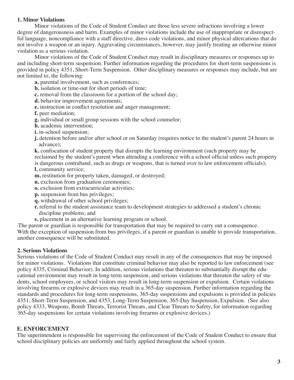#### **1. Minor Violations**

Minor violations of the Code of Student Conduct are those less severe infractions involving a lower degree of dangerousness and harm. Examples of minor violations include the use of inappropriate or disrespectful language, noncompliance with a staff directive, dress code violations, and minor physical altercations that do not involve a weapon or an injury. Aggravating circumstances, however, may justify treating an otherwise minor violation as a serious violation.

Minor violations of the Code of Student Conduct may result in disciplinary measures or responses up to and including short-term suspension. Further information regarding the procedures for short-term suspensions is provided in policy 4351, Short-Term Suspension. Other disciplinary measures or responses may include, but are not limited to, the following:

**a.** parental involvement, such as conferences;

**b.** isolation or time-out for short periods of time;

**c.** removal from the classroom for a portion of the school day;

**d.** behavior improvement agreements;

**e.** instruction in conflict resolution and anger management;

**f.** peer mediation;

- **g.** individual or small group sessions with the school counselor;
- **h.** academic intervention;
- **i.** in-school suspension;
- **j.** detention before and/or after school or on Saturday (requires notice to the student's parent 24 hours in advance);

**k.** confiscation of student property that disrupts the learning environment (such property may be reclaimed by the student's parent when attending a conference with a school official unless such property is dangerous contraband, such as drugs or weapons, that is turned over to law enforcement officials); **l.** community service;

**m.** restitution for property taken, damaged, or destroyed;

**n.** exclusion from graduation ceremonies;

**o.** exclusion from extracurricular activities;

- **p.** suspension from bus privileges;
- **q.** withdrawal of other school privileges;
- **r.** referral to the student assistance team to development strategies to addressed a student's chronic discipline problems; and
- **s.** placement in an alternative learning program or school.

\The parent or guardian is responsible for transportation that may be required to carry out a consequence. With the exception of suspension from bus privileges, if a parent or guardian is unable to provide transportation, another consequence will be substituted.

#### **2. Serious Violations**

Serious violations of the Code of Student Conduct may result in any of the consequences that may be imposed for minor violations. Violations that constitute criminal behavior may also be reported to law enforcement (see policy 4335, Criminal Behavior). In addition, serious violations that threaten to substantially disrupt the educational environment may result in long-term suspension, and serious violations that threaten the safety of students, school employees, or school visitors may result in long-term suspension or expulsion. Certain violations involving firearms or explosive devices may result in a 365-day suspension. Further information regarding the standards and procedures for long-term suspensions, 365-day suspensions and expulsions is provided in policies 4351, Short-Term Suspension, and 4353, Long-Term Suspension, 365-Day Suspension, Expulsion. (See also policy 4333, Weapons, Bomb Threats, Terrorist Threats, and Clear Threats to Safety, for information regarding 365-day suspensions for certain violations involving firearms or explosive devices.)

#### **E. ENFORCEMENT**

The superintendent is responsible for supervising the enforcement of the Code of Student Conduct to ensure that school disciplinary policies are uniformly and fairly applied throughout the school system.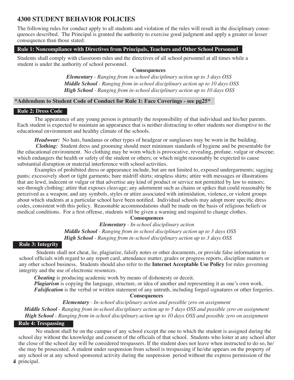## **4300 STUDENT BEHAVIOR POLICIES**

The following rules for conduct apply to all students and violation of the rules will result in the disciplinary consequences described. The Principal is granted the authority to exercise good judgment and apply a greater or lesser consequence than those stated.

#### **Rule 1: Noncompliance with Directives from Principals, Teachers and Other School Personnel**

Students shall comply with classroom rules and the directives of all school personnel at all times while a student is under the authority of school personnel.

#### **Consequences**

*Elementary - Ranging from in-school disciplinary action up to 3 days OSS Middle School - Ranging from in-school disciplinary action up to 10 days OSS High School - Ranging from in-school disciplinary action up to 10 days OSS*

#### **\*Addendum to Student Code of Conduct for Rule 1: Face Coverings - see pg25\***

#### **Rule 2: Dress Code**

The appearance of any young person is primarily the responsibility of that individual and his/her parents. Each student is expected to maintain an appearance that is neither distracting to other students nor disruptive to the educational environment and healthy climate of the schools.

*Headwear:* No hats, bandanas or other types of headgear or sunglasses may be worn in the building.

*Clothing:* Student dress and grooming should meet minimum standards of hygiene and be presentable for the educational environment. No clothing may be worn which is provocative, revealing, profane, vulgar or obscene; which endangers the health or safety of the student or others; or which might reasonably be expected to cause substantial disruption or material interference with school activities.

Examples of prohibited dress or appearance include, but are not limited to, exposed undergarments; sagging pants; excessively short or tight garments; bare midriff shirts; strapless shirts; attire with messages or illustrations that are lewd, indecent or vulgar or that advertise any kind of product or service not permitted by law to minors; see-through clothing; attire that exposes cleavage; any adornment such as chains or spikes that could reasonably be perceived as a weapon; and any symbols, styles or attire associated with intimidation, violence, or violent groups about which students at a particular school have been notified. Individual schools may adopt more specific dress codes, consistent with this policy. Reasonable accommodations shall be made on the basis of religious beliefs or medical conditions. For a first offense, students will be given a warning and required to change clothes.

#### **Consequences**

*Elementary - In-school disciplinary action Middle School - Ranging from in-school disciplinary action up to 3 days OSS High School - Ranging from in-school disciplinary action up to 3 days OSS*

#### **Rule 3: Integrity**

Students shall not cheat, lie, plagiarize, falsify notes or other documents, or provide false information to school officials with regard to any report card, attendance matter, grades or progress reports, discipline matters or any other school business. Students should also refer to the **Internet Acceptable Use Policy** for rules governing integrity and the use of electronic resources.

*Cheating* is producing academic work by means of dishonesty or deceit. *Plagiarism* is copying the language, structure, or idea of another and representing it as one's own work. *Falsification* is the verbal or written statement of any untruth, including forged signatures or other forgeries.

**Consequences**

*Elementary - In-school disciplinary action and possible zero on assignment*

*Middle School - Ranging from in-school disciplinary action up to 5 days OSS and possible zero on assignment High School - Ranging from in-school disciplinary action up to 10 days OSS and possible zero on assignment*

#### **Rule 4: Trespassing**

No student shall be on the campus of any school except the one to which the student is assigned during the school day without the knowledge and consent of the officials of that school. Students who loiter at any school after the close of the school day will be considered trespassers. If the student does not leave when instructed to do so, he/ she may be prosecuted. A student under suspension from school is trespassing if he/she appears on the property of any school or at any school sponsored activity during the suspension period without the express permission of the

**4** principal.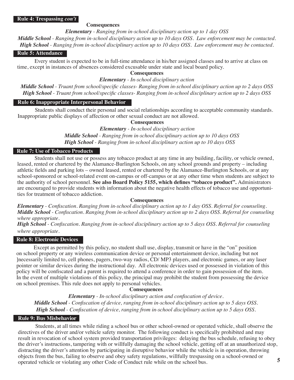#### **Rule 4: Trespassing** *con't*

#### **Consequences**

*Elementary - Ranging from in-school disciplinary action up to 1 day OSS Middle School - Ranging from in-school disciplinary action up to 10 days OSS. Law enforcement may be contacted. High School - Ranging from in-school disciplinary action up to 10 days OSS. Law enforcement may be contacted.*

#### **Rule 5: Attendance**

Every student is expected to be in full-time attendance in his/her assigned classes and to arrive at class on time, except in instances of absences considered excusable under state and local board policy.

#### **Consequences**

#### *Elementary - In-school disciplinary action*

*Middle School - Truant from school/specific classes- Ranging from in-school disciplinary action up to 2 days OSS High School - Truant from school/specific classes- Ranging from in-school disciplinary action up to 2 days OSS* 

#### **Rule 6: Inappropriate Interpersonal Behavior**

Students shall conduct their personal and social relationships according to acceptable community standards. Inappropriate public displays of affection or other sexual conduct are not allowed.

#### **Consequences**

*Elementary - In-school disciplinary action Middle School - Ranging from in-school disciplinary action up to 10 days OSS High School - Ranging from in-school disciplinary action up to 10 days OSS*

#### **Rule 7: Use of Tobacco Products**

Students shall not use or possess any tobacco product at any time in any building, facility, or vehicle owned, leased, rented or chartered by the Alamance-Burlington Schools, on any school grounds and property – including athletic fields and parking lots – owned leased, rented or chartered by the Alamance-Burlington Schools, or at any school-sponsored or school-related event on-campus or off-campus or at any other time when students are subject to the authority of school personnel. **See also Board Policy 5155, which defines "tobacco product".** Administrators are encouraged to provide students with information about the negative health effects of tobacco use and opportunities for treatment of tobacco addiction.

#### **Consequences**

*Elementary - Confiscation. Ranging from in-school disciplinary action up to 1 day OSS. Referral for counseling. Middle School - Confiscation. Ranging from in-school disciplinary action up to 2 days OSS. Referral for counseling where appropriate.*

*High School - Confiscation. Ranging from in-school disciplinary action up to 5 days OSS. Referral for counseling where appropriate.*

#### **Rule 8: Electronic Devices**

Except as permitted by this policy, no student shall use, display, transmit or have in the "on" position on school property or any wireless communication device or personal entertainment device, including but not ]necessarily limited to, cell phones, pagers, two-way radios, CD/ MP3 players, and electronic games, or any laser pointer or similar devices during the instructional day. All electronic devices used or possessed in violation of this policy will be confiscated and a parent is required to attend a conference in order to gain possession of the item. In the event of multiple violations of this policy, the principal may prohibit the student from possessing the device on school premises. This rule does not apply to personal vehicles.

#### **Consequences**

*Elementary - In-school disciplinary action and confiscation of device. Middle School - Confiscation of device, ranging from in-school disciplinary action up to 5 days OSS. High School - Confiscation of device, ranging from in-school disciplinary action up to 5 days OSS.*

#### **Rule 9: Bus Misbehavior**

Students, at all times while riding a school bus or other school-owned or operated vehicle, shall observe the directives of the driver and/or vehicle safety monitor. The following conduct is specifically prohibited and may result in revocation of school system provided transportation privileges: delaying the bus schedule, refusing to obey the driver's instructions, tampering with or willfully damaging the school vehicle, getting off at an unauthorized stop, distracting the driver's attention by participating in disruptive behavior while the vehicle is in operation, throwing objects from the bus, failing to observe and obey safety regulations, willfully trespassing on a school-owned or operated vehicle or violating any other Code of Conduct rule while on the school bus.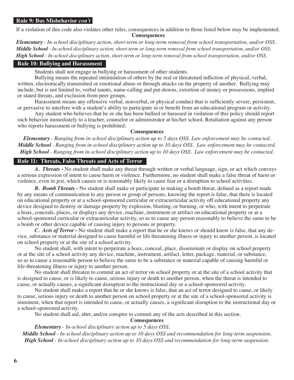#### **Rule 9: Bus Misbehavior** *con't*

If a violation of this code also violates other rules, consequences in addition to those listed below may be implemented. **Consequences**

*Elementary - In-school disciplinary action, short-term or long-term removal from school transportation, and/or OSS. Middle School - In-school disciplinary action, short-term or long-term removal from school transportation, and/or OSS. High School - In-school disciplinary action, short-term or long-term removal from school transportation, and/or OSS.*

#### **Rule 10: Bullying and Harassment**

Students shall not engage in bullying or harassment of other students.

Bullying means the repeated intimidation of others by the real or threatened infliction of physical, verbal, written, electronically transmitted or emotional abuse or through attacks on the property of another. Bullying may include, but is not limited to, verbal taunts, name-calling and put-downs, extortion of money or possessions, implied or stated threats, and exclusion from peer groups.

Harassment means any offensive verbal, nonverbal, or physical conduct that is sufficiently severe, persistent, or pervasive to interfere with a student's ability to participate in or benefit from an educational program or activity.

Any student who believes that he or she has been bullied or harassed in violation of this policy should report such behavior immediately to a teacher, counselor or administrator at his/her school. Retaliation against any person who reports harassment or bullying is prohibited.

#### **Consequences**

*Elementary - Ranging from in-school disciplinary action up to 5 days OSS. Law enforcement may be contacted. Middle School - Ranging from in-school disciplinary action up to 10 days OSS. Law enforcement may be contacted. High School - Ranging from in-school disciplinary action up to 10 days OSS. Law enforcement may be contacted.*

#### **Rule 11: Threats, False Threats and Acts of Terror**

*A. Threats -* No student shall make any threat through written or verbal language, sign, or act which conveys a serious expression of intent to cause harm or violence. Furthermore, no student shall make a false threat of harm or violence, even in jest, which causes or is reasonably likely to cause fear or a disruption to school activities.

*B. Bomb Threats* - No student shall make or participate in making a bomb threat, defined as a report made by any means of communication to any person or group of persons, knowing the report is false, that there is located on educational property or at a school-sponsored curricular or extracurricular activity off educational property any device designed to destroy or damage property by explosion, blasting, or burning, or who, with intent to perpetrate a hoax, conceals, places, or displays any device, machine, instrument or artifact on educational property or at a school-sponsored curricular or extracurricular activity, so as to cause any person reasonably to believe the same to be a bomb or other device capable of causing injury to persons or property.

 *C. Acts of Terror -* No student shall make a report that he or she knows or should know is false, that any device, substance or material designed to cause harmful or life threatening illness or injury to another person, is located on school property or at the site of a school activity.

No student shall, with intent to perpetrate a hoax, conceal, place, disseminate or display on school property or at the site of a school activity any device, machine, instrument, artifact, letter, package, material, or substance, so as to cause a reasonable person to believe the same to be a substance or material capable of causing harmful or life-threatening illness or injury to another person.

No student shall threaten to commit an act of terror on school property or at the site of a school activity that is designed to cause, or is likely to cause, serious injury or death to another person, when the threat is intended to cause, or actually causes, a significant disruption to the instructional day or a school-sponsored activity.

No student shall make a report that he or she knows is false, that an act of terror designed to cause, or likely to cause, serious injury or death to another person on school property or at the site of a school-sponsored activity is imminent, when that report is intended to cause, or actually causes, a significant disruption to the instructional day or a school-sponsored activity.

No student shall aid, abet, and/or conspire to commit any of the acts described in this section.

#### **Consequences**

*Elementary - In-school disciplinary action up to 5 days OSS. Middle School - In-school disciplinary action up to 10 days OSS and recommendation for long-term suspension. High School - In-school disciplinary action up to 10 days OSS and recommendation for long-term suspension.*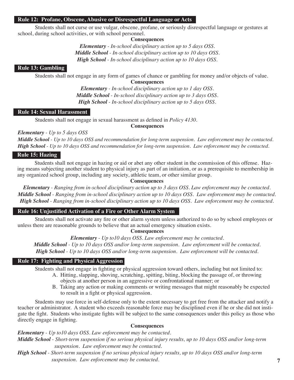#### **Rule 12: Profane, Obscene, Abusive or Disrespectful Language or Acts**

Students shall not curse or use vulgar, obscene, profane, or seriously disrespectful language or gestures at school, during school activities, or with school personnel.

#### **Consequences**

*Elementary - In-school disciplinary action up to 5 days OSS. Middle School - In-school disciplinary action up to 10 days OSS. High School - In-school disciplinary action up to 10 days OSS.*

#### **Rule 13: Gambling**

Students shall not engage in any form of games of chance or gambling for money and/or objects of value. **Consequences**

*Elementary - In-school disciplinary action up to 1 day OSS. Middle School - In-school disciplinary action up to 3 days OSS. High School - In-school disciplinary action up to 5 days OSS.*

#### **Rule 14: Sexual Harassment**

Students shall not engage in sexual harassment as defined in *Policy 4130*.

**Consequences**

*Elementary - Up to 5 days OSS*

*Middle School - Up to 10 days OSS and recommendation for long-term suspension. Law enforcement may be contacted. High School - Up to 10 days OSS and recommendation for long-term suspension. Law enforcement may be contacted.*

#### **Rule 15: Hazing**

Students shall not engage in hazing or aid or abet any other student in the commission of this offense. Hazing means subjecting another student to physical injury as part of an initiation, or as a prerequisite to membership in any organized school group, including any society, athletic team, or other similar group.

#### **Consequences**

*Elementary - Ranging from in-school disciplinary action up to 3 days OSS. Law enforcement may be contacted. Middle School - Ranging from in-school disciplinary action up to 10 days OSS. Law enforcement may be contacted. High School - Ranging from in-school disciplinary action up to 10 days OSS. Law enforcement may be contacted.*

#### **Rule 16: Unjustified Activation of a Fire or Other Alarm System**

Students shall not activate any fire or other alarm system unless authorized to do so by school employees or unless there are reasonable grounds to believe that an actual emergency situation exists.

**Consequences**

*Elementary - Up to10 days OSS. Law enforcement may be contacted.*

*Middle School - Up to 10 days OSS and/or long-term suspension. Law enforcement will be contacted. High School - Up to 10 days OSS and/or long-term suspension. Law enforcement will be contacted.*

#### **Rule 17: Fighting and Physical Aggression**

Students shall not engage in fighting or physical aggression toward others, including but not limited to:

- A. Hitting, slapping, shoving, scratching, spitting, biting, blocking the passage of, or throwing objects at another person in an aggressive or confrontational manner; or
- B. Taking any action or making comments or writing messages that might reasonably be expected to result in a fight or physical aggression.

Students may use force in self-defense only to the extent necessary to get free from the attacker and notify a teacher or administrator. A student who exceeds reasonable force may be disciplined even if he or she did not instigate the fight. Students who instigate fights will be subject to the same consequences under this policy as those who directly engage in fighting.

#### **Consequences**

*Elementary - Up to10 days OSS. Law enforcement may be contacted.*

*Middle School - Short-term suspension if no serious physical injury results, up to 10 days OSS and/or long-term suspension. Law enforcement may be contacted.*

*High School - Short-term suspension if no serious physical injury results, up to 10 days OSS and/or long-term suspension. Law enforcement may be contacted.*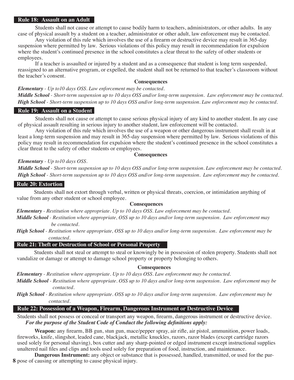#### **Rule 18: Assault on an Adult**

Students shall not cause or attempt to cause bodily harm to teachers, administrators, or other adults. In any case of physical assault by a student on a teacher, administrator or other adult, law enforcement may be contacted.

Any violation of this rule which involves the use of a firearm or destructive device may result in 365-day suspension where permitted by law. Serious violations of this policy may result in recommendation for expulsion where the student's continued presence in the school constitutes a clear threat to the safety of other students or employees.

If a teacher is assaulted or injured by a student and as a consequence that student is long term suspended, reassigned to an alternative program, or expelled, the student shall not be returned to that teacher's classroom without the teacher's consent.

#### **Consequences**

*Elementary - Up to10 days OSS. Law enforcement may be contacted.*

*Middle School - Short-term suspension up to 10 days OSS and/or long-term suspension. Law enforcement may be contacted. High School - Short-term suspension up to 10 days OSS and/or long-term suspension. Law enforcement may be contacted.*

#### **Rule 19: Assault on a Student**

Students shall not cause or attempt to cause serious physical injury of any kind to another student. In any case of physical assault resulting in serious injury to another student, law enforcement will be contacted.

Any violation of this rule which involves the use of a weapon or other dangerous instrument shall result in at least a long-term suspension and may result in 365-day suspension where permitted by law. Serious violations of this policy may result in recommendation for expulsion where the student's continued presence in the school constitutes a clear threat to the safety of other students or employees.

#### **Consequences**

*Elementary - Up to10 days OSS.* 

*Middle School - Short-term suspension up to 10 days OSS and/or long-term suspension. Law enforcement may be contacted. High School - Short-term suspension up to 10 days OSS and/or long-term suspension. Law enforcement may be contacted.*

#### **Rule 20: Extortion**

Students shall not extort through verbal, written or physical threats, coercion, or intimidation anything of value from any other student or school employee.

#### **Consequences**

*Elementary - Restitution where appropriate. Up to 10 days OSS. Law enforcement may be contacted.*

*Middle School - Restitution where appropriate, OSS up to 10 days and/or long-term suspension. Law enforcement may be contacted.*

*High School - Restitution where appropriate, OSS up to 10 days and/or long-term suspension. Law enforcement may be contacted.*

#### **Rule 21: Theft or Destruction of School or Personal Property**

Students shall not steal or attempt to steal or knowingly be in possession of stolen property. Students shall not vandalize or damage or attempt to damage school property or property belonging to others.

#### **Consequences**

*Elementary - Restitution where appropriate. Up to 10 days OSS. Law enforcement may be contacted.*

*Middle School - Restitution where appropriate. OSS up to 10 days and/or long-term suspension. Law enforcement may be contacted.*

*High School - Restitution where appropriate. OSS up to 10 days and/or long-term suspension. Law enforcement may be contacted.*

#### **Rule 22: Possession of a Weapon, Firearm, Dangerous Instrument or Destructive Device**

Students shall not possess or conceal or transport any weapon, firearm, dangerous instrument or destructive device. *For the purpose of the Student Code of Conduct the following definitions apply:*

**Weapon:** any firearm, BB gun, stun gun, mace/pepper spray, air rifle, air pistol, ammunition, power loads, fireworks, knife, slingshot, leaded cane, blackjack, metallic knuckles, razors, razor blades (except cartridge razors used solely for personal shaving), box cutter and any sharp-pointed or edged instrument except instructional supplies unaltered nail files and clips and tools used solely for preparation of food, instruction, and maintenance.

**8** pose of causing or attempting to cause physical injury.**Dangerous Instrument:** any object or substance that is possessed, handled, transmitted, or used for the pur-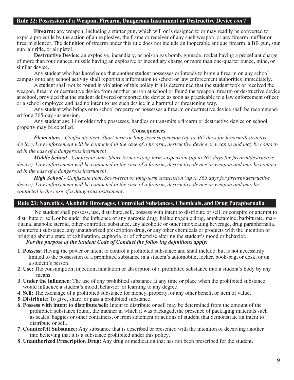#### **Rule 22: Possession of a Weapon, Firearm, Dangerous Instrument or Destructive Device** *con't*

**Firearm:** any weapon, including a starter gun, which will or is designed to or may readily be converted to expel a projectile by the action of an explosive, the frame or receiver of any such weapon, or any firearm muffler or firearm silencer. The definition of firearm under this rule does not include an inoperable antique firearm, a BB gun, stun gun, air rifle, or air pistol.

**Destructive Device:** an explosive, incendiary, or poison gas bomb, grenade, rocket having a propellant charge of more than four ounces, missile having an explosive or incendiary charge or more than one-quarter ounce, mine, or similar device.

Any student who has knowledge that another student possesses or intends to bring a firearm on any school campus or to any school activity shall report this information to school or law enforcement authorities immediately.

A student shall not be found in violation of this policy if it is determined that the student took or received the weapon, firearm or destructive device from another person at school or found the weapon, firearm or destructive device at school, provided that the student delivered or reported the device as soon as practicable to a law enforcement officer or a school employee and had no intent to use such device in a harmful or threatening way.

Any student who brings onto school property or possesses a firearm or destructive device shall be recommended for a 365-day suspension.

Any student age 14 or older who possesses, handles or transmits a firearm or destructive device on school property may be expelled. **Consequences**

*Elementary - Confiscate item. Short-term or long-term suspension (up to 365 days for firearm/destructive device). Law enforcement will be contacted in the case of a firearm, destructive device or weapon and may be contacted in the case of a dangerous instrument.*

 *Middle School - Confiscate item. Short-term or long-term suspension (up to 365 days for firearm/destructive device). Law enforcement will be contacted in the case of a firearm, destructive device or weapon and may be contacted in the case of a dangerous instrument.*

 *High School - Confiscate item. Short-term or long-term suspension (up to 365 days for firearm/destructive device). Law enforcement will be contacted in the case of a firearm, destructive device or weapon and may be contacted in the case of a dangerous instrument.*

#### **Rule 23: Narcotics, Alcoholic Beverages, Controlled Substances, Chemicals, and Drug Paraphernalia**

No student shall possess, use, distribute, sell, possess with intent to distribute or sell, or conspire or attempt to distribute or sell, or be under the influence of any narcotic drug, hallucinogenic drug, amphetamine, barbiturate, marijuana, anabolic steroid, other controlled substance, any alcoholic or other intoxicating beverage, drug paraphernalia, counterfeit substance, any unauthorized prescription drug, or any other chemicals or products with the intention of bringing about a state of exhilaration, euphoria, or of otherwise altering the student's mood or behavior.

#### *For the purpose of the Student Code of Conduct the following definitions apply:*

- **1**. **Possess:** Having the power or intent to control a prohibited substance and shall include, but is not necessarily limited to the possession of a prohibited substance in a student's automobile, locker, book-bag, or desk, or on a student's person.
- **2**. **Use:** The consumption, injection, inhalation or absorption of a prohibited substance into a student's body by any means.
- **3**. **Under the influence:** The use of any prohibited substance at any time or place when the prohibited substance would influence a student's mood, behavior, or learning to any degree.
- **4**. **Sell:** The exchange of a prohibited substance for money, property, or any other benefit or item of value.
- **5**. **Distribute:** To give, share, or pass a prohibited substance.
- **6**. **Possess with intent to distribute/sell:** Intent to distribute or sell may be determined from the amount of the prohibited substance found, the manner in which it was packaged, the presence of packaging materials such as scales, baggies or other containers, or from statement or actions of student that demonstrate an intent to distribute or sell.
- **7**. **Counterfeit Substance:** Any substance that is described or presented with the intention of deceiving another into believing that it is a substance prohibited under this policy.
- **8**. **Unauthorized Prescription Drug:** Any drug or medication that has not been prescribed for the student.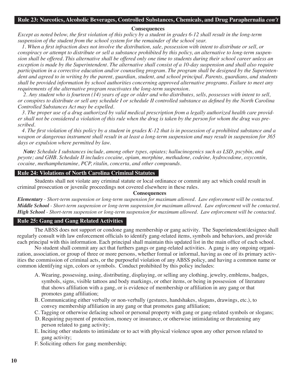#### **Rule 23: Narcotics, Alcoholic Beverages, Controlled Substances, Chemicals, and Drug Paraphernalia** *con't*

#### **Consequences**

*Except as noted below, the first violation of this policy by a student in grades 6-12 shall result in the long-term suspension of the student from the school system for the remainder of the school year.*

 *1. When a first infraction does not involve the distribution, sale, possession with intent to distribute or sell, or conspiracy or attempt to distribute or sell a substance prohibited by this policy, an alternative to long-term suspension shall be offered. This alternative shall be offered only one time to students during their school career unless an exception is made by the Superintendent. The alternative shall consist of a 10-day suspension and shall also require participation in a corrective education and/or counseling program. The program shall be designed by the Superintendent and agreed to in writing by the parent, guardian, student, and school principal. Parents, guardians, and students shall be provided information by school authorities concerning approved alternative programs. Failure to meet any requirements of the alternative program reactivates the long-term suspension.*

 *2. Any student who is fourteen (14) years of age or older and who distributes, sells, possesses with intent to sell, or conspires to distribute or sell any schedule I or schedule II controlled substance as defined by the North Carolina Controlled Substances Act may be expelled.*

 *3. The proper use of a drug authorized by valid medical prescription from a legally authorized health care provider shall not be considered a violation of this rule when the drug is taken by the person for whom the drug was prescribed.*

 *4. The first violation of this policy by a student in grades K-12 that is in possession of a prohibited substance and a weapon or dangerous instrument shall result in at least a long-term suspension and may result in suspension for 365 days or expulsion where permitted by law.*

 *Note: Schedule I substances include, among other types, opiates; hallucinogenics such as LSD, pscybin, and peyote; and GHB. Schedule II includes cocaine, opium, morphine, methadone, codeine, hydrocodone, oxycontin, cocaine, methamphetamine, PCP, ritalin, concerta, and other compounds.*

#### **Rule 24: Violations of North Carolina Criminal Statutes**

Students shall not violate any criminal statute or local ordinance or commit any act which could result in criminal prosecution or juvenile proceedings not covered elsewhere in these rules.

#### **Consequences**

*Elementary - Short-term suspension or long-term suspension for maximum allowed. Law enforcement will be contacted. Middle School - Short-term suspension or long-term suspension for maximum allowed. Law enforcement will be contacted. High School - Short-term suspension or long-term suspension for maximum allowed. Law enforcement will be contacted.*

#### **Rule 25: Gang and Gang Related Activities**

The ABSS does not support or condone gang membership or gang activity. The Superintendent/designee shall regularly consult with law enforcement officials to identify gang-related items, symbols and behaviors, and provide each principal with this information. Each principal shall maintain this updated list in the main office of each school.

No student shall commit any act that furthers gangs or gang-related activities. A gang is any ongoing organization, association, or group of three or more persons, whether formal or informal, having as one of its primary activities the commission of criminal acts, or the purposeful violation of any ABSS policy, and having a common name or common identifying sign, colors or symbols. Conduct prohibited by this policy includes:

- A. Wearing, possessing, using, distributing, displaying, or selling any clothing, jewelry, emblems, badges, symbols, signs, visible tattoos and body markings, or other items, or being in possession of literature that shows affiliation with a gang, or is evidence of membership or affiliation in any gang or that promotes gang affiliation;
- B. Communicating either verbally or non-verbally (gestures, handshakes, slogans, drawings, etc.), to convey membership affiliation in any gang or that promotes gang affiliation;
- C. Tagging or otherwise defacing school or personal property with gang or gang-related symbols or slogans;
- D. Requiring payment of protection, money or insurance, or otherwise intimidating or threatening any person related to gang activity;
- E. Inciting other students to intimidate or to act with physical violence upon any other person related to gang activity;
- F. Soliciting others for gang membership;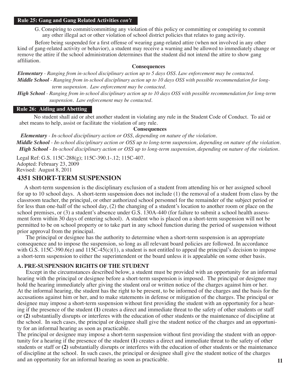#### **Rule 25: Gang and Gang Related Activities** *con't*

G. Conspiring to commit/committing any violation of this policy or committing or conspiring to commit any other illegal act or other violation of school district policies that relates to gang activity.

Before being suspended for a first offense of wearing gang-related attire (when not involved in any other kind of gang-related activity or behavior), a student may receive a warning and be allowed to immediately change or remove the attire if the school administration determines that the student did not intend the attire to show gang affiliation.

#### **Consequences**

*Elementary - Ranging from in-school disciplinary action up to 5 days OSS. Law enforcement may be contacted. Middle School - Ranging from in-school disciplinary action up to 10 days OSS with possible recommendation for long term suspension. Law enforcement may be contacted.*

*High School - Ranging from in-school disciplinary action up to 10 days OSS with possible recommendation for long-term suspension. Law enforcement may be contacted.*

#### **Rule 26: Aiding and Abetting**

No student shall aid or abet another student in violating any rule in the Student Code of Conduct. To aid or abet means to help, assist or facilitate the violation of any rule.

#### **Consequences**

 *Elementary - In-school disciplinary action or OSS, depending on nature of the violation. Middle School - In-school disciplinary action or OSS up to long-term suspension, depending on nature of the violation. High School - In-school disciplinary action or OSS up to long-term suspension, depending on nature of the violation.*

Legal Ref: G.S. 115C-288(g); 115C-390.1-.12; 115C-407. Adopted: February 23, 2009 Revised: August 8, 2011

#### **4351 SHORT-TERM SUSPENSION**

 A short-term suspension is the disciplinary exclusion of a student from attending his or her assigned school for up to 10 school days. A short-term suspension does not include (1) the removal of a student from class by the classroom teacher, the principal, or other authorized school personnel for the remainder of the subject period or for less than one-half of the school day, (2) the changing of a student's location to another room or place on the school premises, or (3) a student's absence under G.S. 130A-440 (for failure to submit a school health assessment form within 30 days of entering school). A student who is placed on a short-term suspension will not be permitted to be on school property or to take part in any school function during the period of suspension without prior approval from the principal.

 The principal or designee has the authority to determine when a short-term suspension is an appropriate consequence and to impose the suspension, so long as all relevant board policies are followed. In accordance with G.S. 115C-390.6(e) and 115C-45(c)(1), a student is not entitled to appeal the principal's decision to impose a short-term suspension to either the superintendent or the board unless it is appealable on some other basis.

#### **A. PRE-SUSPENSION RIGHTS OF THE STUDENT**

 Except in the circumstances described below, a student must be provided with an opportunity for an informal hearing with the principal or designee before a short-term suspension is imposed. The principal or designee may hold the hearing immediately after giving the student oral or written notice of the charges against him or her. At the informal hearing, the student has the right to be present, to be informed of the charges and the basis for the accusations against him or her, and to make statements in defense or mitigation of the charges. The principal or designee may impose a short-term suspension without first providing the student with an opportunity for a hearing if the presence of the student **(1)** creates a direct and immediate threat to the safety of other students or staff or **(2)** substantially disrupts or interferes with the education of other students or the maintenance of discipline at the school. In such cases, the principal or designee shall give the student notice of the charges and an opportunity for an informal hearing as soon as practicable.

The principal or designee may impose a short-term suspension without first providing the student with an opportunity for a hearing if the presence of the student **(1)** creates a direct and immediate threat to the safety of other students or staff or **(2)** substantially disrupts or interferes with the education of other students or the maintenance of discipline at the school. In such cases, the principal or designee shall give the student notice of the charges and an opportunity for an informal hearing as soon as practicable.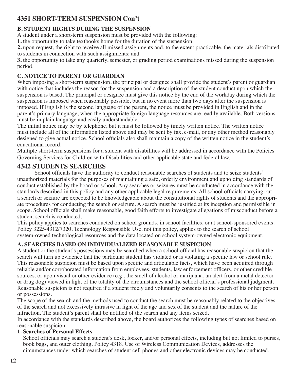## **4351 SHORT-TERM SUSPENSION Con't**

## **B. STUDENT RIGHTS DURING THE SUSPENSION**

A student under a short-term suspension must be provided with the following:

**1.** the opportunity to take textbooks home for the duration of the suspension;

**2.** upon request, the right to receive all missed assignments and, to the extent practicable, the materials distributed to students in connection with such assignments; and

**3.** the opportunity to take any quarterly, semester, or grading period examinations missed during the suspension period.

## **C. NOTICE TO PARENT OR GUARDIAN**

When imposing a short-term suspension, the principal or designee shall provide the student's parent or guardian with notice that includes the reason for the suspension and a description of the student conduct upon which the suspension is based. The principal or designee must give this notice by the end of the workday during which the suspension is imposed when reasonably possible, but in no event more than two days after the suspension is imposed. If English is the second language of the parent, the notice must be provided in English and in the parent's primary language, when the appropriate foreign language resources are readily available. Both versions must be in plain language and easily understandable.

The initial notice may be by telephone, but it must be followed by timely written notice. The written notice must include all of the information listed above and may be sent by fax, e-mail, or any other method reasonably designed to give actual notice. School officials also shall maintain a copy of the written notice in the student's educational record.

Multiple short-term suspensions for a student with disabilities will be addressed in accordance with the Policies Governing Services for Children with Disabilities and other applicable state and federal law.

## **4342 STUDENTS SEARCHES**

School officials have the authority to conduct reasonable searches of students and to seize students' unauthorized materials for the purposes of maintaining a safe, orderly environment and upholding standards of conduct established by the board or school. Any searches or seizures must be conducted in accordance with the standards described in this policy and any other applicable legal requirements. All school officials carrying out a search or seizure are expected to be knowledgeable about the constitutional rights of students and the appropriate procedures for conducting the search or seizure. A search must be justified at its inception and permissible in scope. School officials shall make reasonable, good faith efforts to investigate allegations of misconduct before a student search is conducted.

This policy applies to searches conducted on school grounds, in school facilities, or at school-sponsored events. Policy 3225/4312/7320, Technology Responsible Use, not this policy, applies to the search of school system-owned technological resources and the data located on school system-owned electronic equipment.

## **A. SEARCHES BASED ON INDIVIDUALIZED REASONABLE SUSPICION**

A student or the student's possessions may be searched when a school official has reasonable suspicion that the search will turn up evidence that the particular student has violated or is violating a specific law or school rule. This reasonable suspicion must be based upon specific and articulable facts, which have been acquired through reliable and/or corroborated information from employees, students, law enforcement officers, or other credible sources, or upon visual or other evidence (e.g., the smell of alcohol or marijuana, an alert from a metal detector or drug dog) viewed in light of the totality of the circumstances and the school official's professional judgment. Reasonable suspicion is not required if a student freely and voluntarily consents to the search of his or her person or possessions.

The scope of the search and the methods used to conduct the search must be reasonably related to the objectives of the search and not excessively intrusive in light of the age and sex of the student and the nature of the infraction. The student's parent shall be notified of the search and any items seized.

In accordance with the standards described above, the board authorizes the following types of searches based on reasonable suspicion.

## **1. Searches of Personal Effects**

School officials may search a student's desk, locker, and/or personal effects, including but not limited to purses, book bags, and outer clothing. Policy 4318, Use of Wireless Communication Devices, addresses the circumstances under which searches of student cell phones and other electronic devices may be conducted.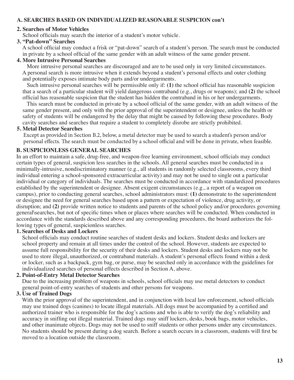#### **A. SEARCHES BASED ON INDIVIDUALIZED REASONABLE SUSPICION con't**

#### **2. Searches of Motor Vehicles**

School officials may search the interior of a student's motor vehicle.

#### **3. "Pat-down" Searches**

 A school official may conduct a frisk or "pat-down" search of a student's person. The search must be conducted in private by a school official of the same gender with an adult witness of the same gender present.

#### **4. More Intrusive Personal Searches**

 More intrusive personal searches are discouraged and are to be used only in very limited circumstances. A personal search is more intrusive when it extends beyond a student's personal effects and outer clothing and potentially exposes intimate body parts and/or undergarments.

 Such intrusive personal searches will be permissible only if: **(1)** the school official has reasonable suspicion that a search of a particular student will yield dangerous contraband (e.g., drugs or weapons); and **(2)** the school official has reasonable suspicion that the student has hidden the contraband in his or her undergarments.

 This search must be conducted in private by a school official of the same gender, with an adult witness of the same gender present, and only with the prior approval of the superintendent or designee, unless the health or safety of students will be endangered by the delay that might be caused by following these procedures. Body cavity searches and searches that require a student to completely disrobe are strictly prohibited.

#### **5. Metal Detector Searches**

 Except as provided in Section B.2, below, a metal detector may be used to search a student's person and/or personal effects. The search must be conducted by a school official and will be done in private, when feasible.

#### **B. SUSPICIONLESS GENERAL SEARCHES**

In an effort to maintain a safe, drug-free, and weapon-free learning environment, school officials may conduct certain types of general, suspicion less searches in the schools. All general searches must be conducted in a minimally-intrusive, nondiscriminatory manner (e.g., all students in randomly selected classrooms, every third individual entering a school-sponsored extracurricular activity) and may not be used to single out a particular individual or category of individuals. The searches must be conducted in accordance with standardized procedures established by the superintendent or designee. Absent exigent circumstances (e.g., a report of a weapon on campus), prior to conducting general searches, school administrators must: **(1)** demonstrate to the superintendent or designee the need for general searches based upon a pattern or expectation of violence, drug activity, or disruption; and **(2)** provide written notice to students and parents of the school policy and/or procedures governing general\searches, but not of specific times when or places where searches will be conducted. When conducted in accordance with the standards described above and any corresponding procedures, the board authorizes the following types of general, suspicionless searches.

#### **1. Searches of Desks and Lockers**

 School officials may conduct routine searches of student desks and lockers. Student desks and lockers are school property and remain at all times under the control of the school. However, students are expected to assume full responsibility for the security of their desks and lockers. Student desks and lockers may not be used to store illegal, unauthorized, or contraband materials. A student's personal effects found within a desk or locker, such as a backpack, gym bag, or purse, may be searched only in accordance with the guidelines for individualized searches of personal effects described in Section A, above.

#### **2. Point-of-Entry Metal Detector Searches**

 Due to the increasing problem of weapons in schools, school officials may use metal detectors to conduct general point-of-entry searches of students and other persons for weapons.

#### **3. Use of Trained Dogs**

With the prior approval of the superintendent, and in conjunction with local law enforcement, school officials may use trained dogs (canines) to locate illegal materials. All dogs must be accompanied by a certified and authorized trainer who is responsible for the dog's actions and who is able to verify the dog's reliability and accuracy in sniffing out illegal material. Trained dogs may sniff lockers, desks, book bags, motor vehicles, and other inanimate objects. Dogs may not be used to sniff students or other persons under any circumstances. No students should be present during a dog search. Before a search occurs in a classroom, students will first be moved to a location outside the classroom.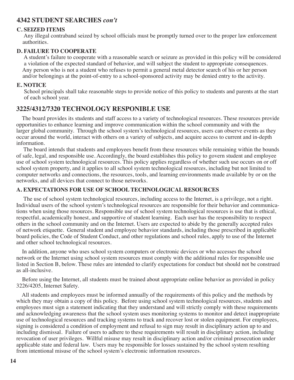## **4342 STUDENT SEARCHES** *con't*

#### **C. SEIZED ITEMS**

 Any illegal contraband seized by school officials must be promptly turned over to the proper law enforcement authorities.

#### **D. FAILURE TO COOPERATE**

 A student's failure to cooperate with a reasonable search or seizure as provided in this policy will be considered a violation of the expected standard of behavior, and will subject the student to appropriate consequences. Any person who is not a student who refuses to permit a general metal detector search of his or her person and/or belongings at the point-of-entry to a school-sponsored activity may be denied entry to the activity.

#### **E. NOTICE**

 School principals shall take reasonable steps to provide notice of this policy to students and parents at the start of each school year.

## **3225/4312/7320 TECHNOLOGY RESPONIBLE USE**

 The board provides its students and staff access to a variety of technological resources. These resources provide opportunities to enhance learning and improve communication within the school community and with the larger global community. Through the school system's technological resources, users can observe events as they occur around the world, interact with others on a variety of subjects, and acquire access to current and in-depth information.

 The board intends that students and employees benefit from these resources while remaining within the bounds of safe, legal, and responsible use. Accordingly, the board establishes this policy to govern student and employee use of school system technological resources. This policy applies regardless of whether such use occurs on or off school system property, and it applies to all school system technological resources, including but not limited to computer networks and connections, the resources, tools, and learning environments made available by or on the networks, and all devices that connect to those networks.

#### **A. EXPECTATIONS FOR USE OF SCHOOL TECHNOLOGICAL RESOURCES**

 The use of school system technological resources, including access to the Internet, is a privilege, not a right. Individual users of the school system's technological resources are responsible for their behavior and communications when using those resources. Responsible use of school system technological resources is use that is ethical, respectful, academically honest, and supportive of student learning. Each user has the responsibility to respect others in the school community and on the Internet. Users are expected to abide by the generally accepted rules of network etiquette. General student and employee behavior standards, including those prescribed in applicable board policies, the Code of Student Conduct, and other regulations and school rules, apply to use of the Internet and other school technological resources.

 In addition, anyone who uses school system computers or electronic devices or who accesses the school network or the Internet using school system resources must comply with the additional rules for responsible use listed in Section B, below. These rules are intended to clarify expectations for conduct but should not be construed as all-inclusive.

 Before using the Internet, all students must be trained about appropriate online behavior as provided in policy 3226/4205, Internet Safety.

 All students and employees must be informed annually of the requirements of this policy and the methods by which they may obtain a copy of this policy. Before using school system technological resources, students and employees must sign a statement indicating that they understand and will strictly comply with these requirements and acknowledging awareness that the school system uses monitoring systems to monitor and detect inappropriate use of technological resources and tracking systems to track and recover lost or stolen equipment. For employees, signing is considered a condition of employment and refusal to sign may result in disciplinary action up to and including dismissal. Failure of users to adhere to these requirements will result in disciplinary action, including revocation of user privileges. Willful misuse may result in disciplinary action and/or criminal prosecution under applicable state and federal law. Users may be responsible for losses sustained by the school system resulting from intentional misuse of the school system's electronic information resources.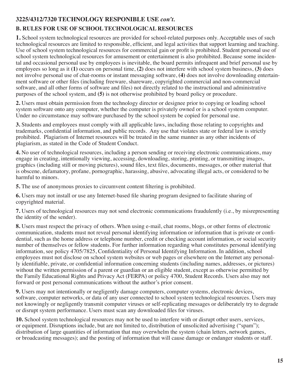## **3225/4312/7320 TECHNOLOGY RESPONIBLE USE** *con't.*

## **B. RULES FOR USE OF SCHOOL TECHNOLOGICAL RESOURCES**

**1.** School system technological resources are provided for school-related purposes only. Acceptable uses of such technological resources are limited to responsible, efficient, and legal activities that support learning and teaching. Use of school system technological resources for commercial gain or profit is prohibited. Student personal use of school system technological resources for amusement or entertainment is also prohibited. Because some incidental and occasional personal use by employees is inevitable, the board permits infrequent and brief personal use by employees so long as it **(1)** occurs on personal time, **(2)** does not interfere with school system business, **(3)** does not involve personal use of chat-rooms or instant messaging software, **(4)** does not involve downloading entertainment software or other files (including freeware, shareware, copyrighted commercial and non-commercial software, and all other forms of software and files) not directly related to the instructional and administrative purposes of the school system, and **(5)** is not otherwise prohibited by board policy or procedure.

**2.** Users must obtain permission from the technology director or designee prior to copying or loading school system software onto any computer, whether the computer is privately owned or is a school system computer. Under no circumstance may software purchased by the school system be copied for personal use.

**3.** Students and employees must comply with all applicable laws, including those relating to copyrights and trademarks, confidential information, and public records. Any use that violates state or federal law is strictly prohibited. Plagiarism of Internet resources will be treated in the same manner as any other incidents of plagiarism, as stated in the Code of Student Conduct.

**4.** No user of technological resources, including a person sending or receiving electronic communications, may engage in creating, intentionally viewing, accessing, downloading, storing, printing, or transmitting images, graphics (including still or moving pictures), sound files, text files, documents, messages, or other material that is obscene, defamatory, profane, pornographic, harassing, abusive, advocating illegal acts, or considered to be harmful to minors.

**5.** The use of anonymous proxies to circumvent content filtering is prohibited.

**6.** Users may not install or use any Internet-based file sharing program designed to facilitate sharing of copyrighted material.

**7.** Users of technological resources may not send electronic communications fraudulently (i.e., by misrepresenting the identity of the sender).

**8.** Users must respect the privacy of others. When using e-mail, chat rooms, blogs, or other forms of electronic communication, students must not reveal personal identifying information or information that is private or confidential, such as the home address or telephone number, credit or checking account information, or social security number of themselves or fellow students. For further information regarding what constitutes personal identifying information, see policy 4705/7825, Confidentiality of Personal Identifying Information. In addition, school employees must not disclose on school system websites or web pages or elsewhere on the Internet any personally identifiable, private, or confidential information concerning students (including names, addresses, or pictures) without the written permission of a parent or guardian or an eligible student, except as otherwise permitted by the Family Educational Rights and Privacy Act (FERPA) or policy 4700, Student Records. Users also may not forward or post personal communications without the author's prior consent.

**9.** Users may not intentionally or negligently damage computers, computer systems, electronic devices, software, computer networks, or data of any user connected to school system technological resources. Users may not knowingly or negligently transmit computer viruses or self-replicating messages or deliberately try to degrade or disrupt system performance. Users must scan any downloaded files for viruses.

**10.** School system technological resources may not be used to interfere with or disrupt other users, services, or equipment. Disruptions include, but are not limited to, distribution of unsolicited advertising ("spam"); distribution of large quantities of information that may overwhelm the system (chain letters, network games, or broadcasting messages); and the posting of information that will cause damage or endanger students or staff.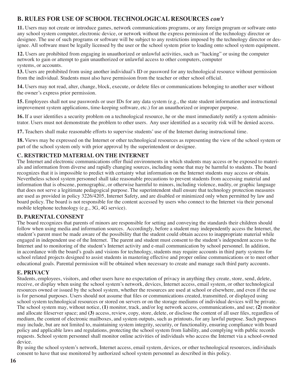## **B. RULES FOR USE OF SCHOOL TECHNOLOGICAL RESOURCES** *con't*

**11.** Users may not create or introduce games, network communications programs, or any foreign program or software onto any school system computer, electronic device, or network without the express permission of the technology director or designee. The use of such programs or software will be subject to any restrictions imposed by the technology director or designee. All software must be legally licensed by the user or the school system prior to loading onto school system equipment.

**12.** Users are prohibited from engaging in unauthorized or unlawful activities, such as "hacking" or using the computer network to gain or attempt to gain unauthorized or unlawful access to other computers, computer systems, or accounts.

**13.** Users are prohibited from using another individual's ID or password for any technological resource without permission from the individual. Students must also have permission from the teacher or other school official.

**14.** Users may not read, alter, change, block, execute, or delete files or communications belonging to another user without the owner's express prior permission.

**15.** Employees shall not use passwords or user IDs for any data system (e.g., the state student information and instructional improvement system applications, time-keeping software, etc.) for an unauthorized or improper purpose.

**16.** If a user identifies a security problem on a technological resource, he or she must immediately notify a system administrator. Users must not demonstrate the problem to other users. Any user identified as a security risk will be denied access.

**17.** Teachers shall make reasonable efforts to supervise students' use of the Internet during instructional time.

**18.** Views may be expressed on the Internet or other technological resources as representing the view of the school system or part of the school system only with prior approval by the superintendent or designee.

#### **C. RESTRICTED MATERIAL ON THE INTERNET**

The Internet and electronic communications offer fluid environments in which students may access or be exposed to materials and information from diverse and rapidly changing sources, including some that may be harmful to students. The board recognizes that it is impossible to predict with certainty what information on the Internet students may access or obtain. Nevertheless school system personnel shall take reasonable precautions to prevent students from accessing material and information that is obscene, pornographic, or otherwise harmful to minors, including violence, nudity, or graphic language that does not serve a legitimate pedagogical purpose. The superintendent shall ensure that technology protection measures are used as provided in policy 3226/4205, Internet Safety, and are disabled or minimized only when permitted by law and board policy. The board is not responsible for the content accessed by users who connect to the Internet via their personal mobile telephone technology (e.g., 3G, 4G service).

#### **D. PARENTAL CONSENT**

The board recognizes that parents of minors are responsible for setting and conveying the standards their children should follow when using media and information sources. Accordingly, before a student may independently access the Internet, the student's parent must be made aware of the possibility that the student could obtain access to inappropriate material while engaged in independent use of the Internet. The parent and student must consent to the student's independent access to the Internet and to monitoring of the student's Internet activity and e-mail communication by school personnel. In addition, in accordance with the board's goals and visions for technology, students may require accounts in third party systems for school related projects designed to assist students in mastering effective and proper online communications or to meet other educational goals. Parental permission will be obtained when necessary to create and manage such third party accounts.

#### **E. PRIVACY**

Students, employees, visitors, and other users have no expectation of privacy in anything they create, store, send, delete, receive, or display when using the school system's network, devices, Internet access, email system, or other technological resources owned or issued by the school system, whether the resources are used at school or elsewhere, and even if the use is for personal purposes. Users should not assume that files or communications created, transmitted, or displayed using school system technological resources or stored on servers or on the storage mediums of individual devices will be private. The school system may, without notice, **(1)** monitor, track, and/or log network access, communications, and use; **(2)** monitor and allocate fileserver space; and **(3)** access, review, copy, store, delete, or disclose the content of all user files, regardless of medium, the content of electronic mailboxes, and system outputs, such as printouts, for any lawful purpose. Such purposes may include, but are not limited to, maintaining system integrity, security, or functionality, ensuring compliance with board policy and applicable laws and regulations, protecting the school system from liability, and complying with public records requests. School system personnel shall monitor online activities of individuals who access the Internet via a school-owned device.

By using the school system's network, Internet access, email system, devices, or other technological resources, individuals consent to have that use monitored by authorized school system personnel as described in this policy.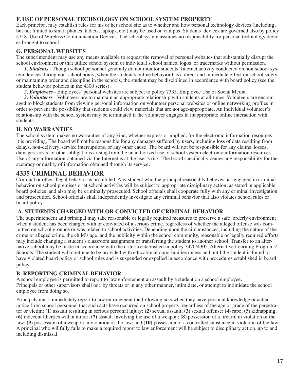#### **F. USE OF PERSONAL TECHNOLOGY ON SCHOOL SYSTEM PROPERTY**

Each principal may establish rules for his or her school site as to whether and how personal technology devices (including, but not limited to smart phones, tablets, laptops, etc.) may be used on campus. Students' devices are governed also by policy 4318, Use of Wireless Communication Devices. The school system assumes no responsibility for personal technology devices brought to school.

#### **G. PERSONAL WEBSITES**

The superintendent may use any means available to request the removal of personal websites that substantially disrupt the school environment or that utilize school system or individual school names, logos, or trademarks without permission.

 *1. Students* - Though school personnel generally do not monitor students' Internet activity conducted on non-school system devices during non-school hours, when the student's online behavior has a direct and immediate effect on school safety or maintaining order and discipline in the schools, the student may be disciplined in accordance with board policy (see the student behavior policies in the 4300 series).

 *2. Employees* - Employees' personal websites are subject to policy 7335, Employee Use of Social Media.

 *3. Volunteers* - Volunteers are to maintain an appropriate relationship with students at all times. Volunteers are encouraged to block students from viewing personal information on volunteer personal websites or online networking profiles in order to prevent the possibility that students could view materials that are not age-appropriate. An individual volunteer's relationship with the school system may be terminated if the volunteer engages in inappropriate online interaction with students.

#### **H. NO WARRANTIES**

The school system makes no warranties of any kind, whether express or implied, for the electronic information resources it is providing. The board will not be responsible for any damages suffered by users, including loss of data resulting from delays, non-delivery, service interruptions, or any other cause. The board will not be responsible for any claims, losses, damages, costs, or other obligations arising from the unauthorized use of school system electronic information resources. Use of any information obtained via the Internet is at the user's risk. The board specifically denies any responsibility for the accuracy or quality of information obtained through its service.

## **4335 CRIMINAL BEHAVIOR**

Criminal or other illegal behavior is prohibited. Any student who the principal reasonably believes has engaged in criminal behavior on school premises or at school activities will be subject to appropriate disciplinary action, as stated in applicable board policies, and also may be criminally prosecuted. School officials shall cooperate fully with any criminal investigation and prosecution. School officials shall independently investigate any criminal behavior that also violates school rules or board policy.

#### **A. STUDENTS CHARGED WITH OR CONVICTED OF CRIMINAL BEHAVIOR**

The superintendent and principal may take reasonable or legally required measures to preserve a safe, orderly environment when a student has been charged with or convicted of a serious crime, regardless of whether the alleged offense was committed on school grounds or was related to school activities. Depending upon the circumstances, including the nature of the crime or alleged crime, the child's age, and the publicity within the school community, reasonable or legally required efforts may include changing a student's classroom assignment or transferring the student to another school. Transfer to an alternative school may be made in accordance with the criteria established in policy 3470/4305, Alternative Learning Programs/ Schools. The student will continue to be provided with educational opportunities unless and until the student is found to have violated board policy or school rules and is suspended or expelled in accordance with procedures established in board policy.

#### **B. REPORTING CRIMINAL BEHAVIOR**

A school employee is permitted to report to law enforcement an assault by a student on a school employee. Principals or other supervisors shall not, by threats or in any other manner, intimidate, or attempt to intimidate the school employee from doing so.

Principals must immediately report to law enforcement the following acts when they have personal knowledge or actual notice from school personnel that such acts have occurred on school property, regardless of the age or grade of the perpetrator or victim: **(1)** assault resulting in serious personal injury; **(2)** sexual assault; **(3)** sexual offense; **(4)** rape; (5) kidnapping; **(6)** indecent liberties with a minor; **(7)** assault involving the use of a weapon; **(8)** possession of a firearm in violation of the law; **(9)** possession of a weapon in violation of the law; and **(10)** possession of a controlled substance in violation of the law. A principal who willfully fails to make a required report to law enforcement will be subject to disciplinary action, up to and including dismissal.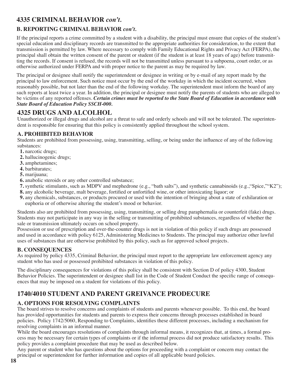## **4335 CRIMINAL BEHAVIOR** *con't.*

## **B. REPORTING CRIMINAL BEHAVIOR** *con't.*

If the principal reports a crime committed by a student with a disability, the principal must ensure that copies of the student's special education and disciplinary records are transmitted to the appropriate authorities for consideration, to the extent that transmission is permitted by law. Where necessary to comply with Family Educational Rights and Privacy Act (FERPA), the principal shall obtain the written consent of the parent or student (if the student is at least 18 years of age) before transmitting the records. If consent is refused, the records will not be transmitted unless pursuant to a subpoena, court order, or as otherwise authorized under FERPA and with proper notice to the parent as may be required by law.

The principal or designee shall notify the superintendent or designee in writing or by e-mail of any report made by the principal to law enforcement. Such notice must occur by the end of the workday in which the incident occurred, when reasonably possible, but not later than the end of the following workday. The superintendent must inform the board of any such reports at least twice a year. In addition, the principal or designee must notify the parents of students who are alleged to be victims of any reported offenses. *Certain crimes must be reported to the State Board of Education in accordance with State Board of Education Policy SSCH-000.*

## **4325 DRUGS AND ALCOLHOL**

Unauthorized or illegal drugs and alcohol are a threat to safe and orderly schools and will not be tolerated. The superintendent is responsible for ensuring that this policy is consistently applied throughout the school system.

## **A. PROHIBITED BEHAVIOR**

Students are prohibited from possessing, using, transmitting, selling, or being under the influence of any of the following substances:

- **1.** narcotic drugs;
- **2.** hallucinogenic drugs;
- **3.** amphetamines;
- **4.** barbiturates;
- **5.** marijuana;
- **6.** anabolic steroids or any other controlled substance;
- **7.** synthetic stimulants, such as MDPV and mephedrone (e.g., "bath salts"), and synthetic cannabinoids (e.g.,"Spice,""K2");
- **8.** any alcoholic beverage, malt beverage, fortified or unfortified wine, or other intoxicating liquor; or
- **9.** any chemicals, substances, or products procured or used with the intention of bringing about a state of exhilaration or euphoria or of otherwise altering the student's mood or behavior.

Students also are prohibited from possessing, using, transmitting, or selling drug paraphernalia or counterfeit (fake) drugs. Students may not participate in any way in the selling or transmitting of prohibited substances, regardless of whether the sale or transmission ultimately occurs on school property.

Possession or use of prescription and over-the-counter drugs is not in violation of this policy if such drugs are possessed and used in accordance with policy 6125, Administering Medicines to Students. The principal may authorize other lawful uses of substances that are otherwise prohibited by this policy, such as for approved school projects.

## **B. CONSEQUENCES**

As required by policy 4335, Criminal Behavior, the principal must report to the appropriate law enforcement agency any student who has used or possessed prohibited substances in violation of this policy.

The disciplinary consequences for violations of this policy shall be consistent with Section D of policy 4300, Student Behavior Policies. The superintendent or designee shall list in the Code of Student Conduct the specific range of consequences that may be imposed on a student for violations of this policy.

## **1740/4010 STUDENT AND PARENT GREIVANCE PRODECURE**

## **A. OPTIONS FOR RESOLVING COMPLAINTS**

The board strives to resolve concerns and complaints of students and parents whenever possible. To this end, the board has provided opportunities for students and parents to express their concerns through processes established in board policies. Policy 1742/5060, Responding to Complaints, identifies these different processes, including a mechanism for resolving complaints in an informal manner.

While the board encourages resolutions of complaints through informal means, it recognizes that, at times, a formal process may be necessary for certain types of complaints or if the informal process did not produce satisfactory results. This policy provides a complaint procedure that may be used as described below.

Any parent or student who has questions about the options for proceeding with a complaint or concern may contact the principal or superintendent for further information and copies of all applicable board policies.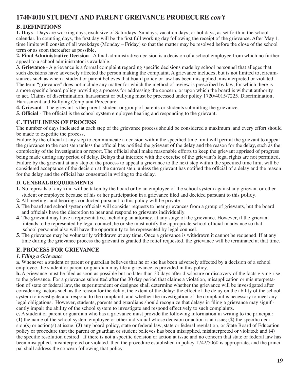## **1740/4010 STUDENT AND PARENT GREIVANCE PRODECURE** *con't*

## **B. DEFINITIONS**

**1. Days** - Days are working days, exclusive of Saturdays, Sundays, vacation days, or holidays, as set forth in the school calendar. In counting days, the first day will be the first full working day following the receipt of the grievance. After May 1, time limits will consist of all weekdays (Monday – Friday) so that the matter may be resolved before the close of the school term or as soon thereafter as possible.

**2. Final Administrative Decision** - A final administrative decision is a decision of a school employee from which no further appeal to a school administrator is available.

**3. Grievance** - A grievance is a formal complaint regarding specific decisions made by school personnel that alleges that such decisions have adversely affected the person making the complaint. A grievance includes, but is not limited to, circumstances such as when a student or parent believes that board policy or law has been misapplied, misinterpreted or violated. The term "grievance" does not include any matter for which the method of review is prescribed by law, for which there is a more specific board policy providing a process for addressing the concern, or upon which the board is without authority to act. Claims of discrimination, harassment or bullying must be processed under policy 1720/4015/7225, Discrimination, Harassment and Bullying Complaint Procedure.

**4. Grievant** - The grievant is the parent, student or group of parents or students submitting the grievance.

**5. Official** - The official is the school system employee hearing and responding to the grievant.

#### **C. TIMELINESS OF PROCESS**

The number of days indicated at each step of the grievance process should be considered a maximum, and every effort should be made to expedite the process.

Failure by the official at any step to communicate a decision within the specified time limit will permit the grievant to appeal the grievance to the next step unless the official has notified the grievant of the delay and the reason for the delay, such as the complexity of the investigation or report. The official shall make reasonable efforts to keep the grievant apprised of progress being made during any period of delay. Delays that interfere with the exercise of the grievant's legal rights are not permitted. Failure by the grievant at any step of the process to appeal a grievance to the next step within the specified time limit will be considered acceptance of the decision at the current step, unless the grievant has notified the official of a delay and the reason for the delay and the official has consented in writing to the delay.

#### **D. GENERAL REQUIREMENTS**

- **1.** No reprisals of any kind will be taken by the board or by an employee of the school system against any grievant or other student or employee because of his or her participation in a grievance filed and decided pursuant to this policy.
- **2.** All meetings and hearings conducted pursuant to this policy will be private.
- **3.** The board and school system officials will consider requests to hear grievances from a group of grievants, but the board and officials have the discretion to hear and respond to grievants individually.
- **4.** The grievant may have a representative, including an attorney, at any stage of the grievance. However, if the grievant intends to be represented by legal counsel, he or she must notify the appropriate school official in advance so that school personnel also will have the opportunity to be represented by legal counsel.
- **5.** The grievance may be voluntarily withdrawn at any time. Once a grievance is withdrawn it cannot be reopened. If at any time during the grievance process the grievant is granted the relief requested, the grievance will be terminated at that time.

## **E. PROCESS FOR GRIEVANCE**

#### *1. Filing a Grievance*

**a.** Whenever a student or parent or guardian believes that he or she has been adversely affected by a decision of a school employee, the student or parent or guardian may file a grievance as provided in this policy.

**b.** A grievance must be filed as soon as possible but no later than 30 days after disclosure or discovery of the facts giving rise to the grievance. For a grievance submitted after the 30 day period that claims a violation, misapplication or misinterpretation of state or federal law, the superintendent or designee shall determine whether the grievance will be investigated after considering factors such as the reason for the delay; the extent of the delay; the effect of the delay on the ability of the school system to investigate and respond to the complaint; and whether the investigation of the complaint is necessary to meet any legal obligations. However, students, parents and guardians should recognize that delays in filing a grievance may significantly impair the ability of the school system to investigate and respond effectively to such complaints.

**c.** A student or parent or guardian who has a grievance must provide the following information in writing to the principal: **(1)** the name of the school system employee or other individual whose decision or action is at issue; **(2)** the specific decision(s) or action(s) at issue; **(3)** any board policy, state or federal law, state or federal regulation, or State Board of Education policy or procedure that the parent or guardian or student believes has been misapplied, misinterpreted or violated; and **(4)**  the specific resolution desired. If there is not a specific decision or action at issue and no concern that state or federal law has been misapplied, misinterpreted or violated, then the procedure established in policy 1742/5060 is appropriate, and the principal shall address the concern following that policy.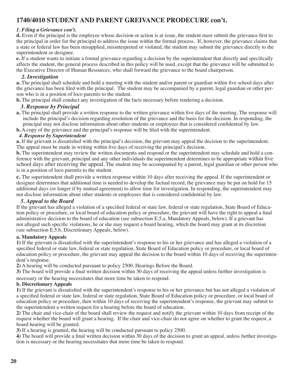## **1740/4010 STUDENT AND PARENT GREIVANCE PRODECURE con't.**

#### *1. Filing a Grievance con't.*

**d.** Even if the principal is the employee whose decision or action is at issue, the student must submit the grievance first to the principal in order for the principal to address the issue within the formal process. If, however, the grievance claims that a state or federal law has been misapplied, misinterpreted or violated, the student may submit the grievance directly to the superintendent or designee.

**e.** If a student wants to initiate a formal grievance regarding a decision by the superintendent that directly and specifically affects the student, the general process described in this policy will be used, except that the grievance will be submitted to the Executive Director of Human Resources, who shall forward the grievance to the board chairperson.

#### *2. Investigation*

**a.** The principal shall schedule and hold a meeting with the student and/or parent or guardian within five school days after the grievance has been filed with the principal. The student may be accompanied by a parent, legal guardian or other person who is in a position of loco parentis to the student.

**b.** The principal shall conduct any investigation of the facts necessary before rendering a decision.

#### *3. Response by Principal*

**a.** The principal shall provide a written response to the written grievance within five days of the meeting. The response will include the principal's decision regarding resolution of the grievance and the basis for the decision. In responding, the principal may not disclose information about other students or employees that is considered confidential by law.

**b.** A copy of the grievance and the principal's response will be filed with the superintendent.

#### *4. Response by Superintendent*

**a.** If the grievant is dissatisfied with the principal's decision, the grievant may appeal the decision to the superintendent. The appeal must be made in writing within five days of receiving the principal's decision.

**b.** The superintendent may review the written documents and respond or the superintendent may schedule and hold a conference with the grievant, principal and any other individuals the superintendent determines to be appropriate within five school days after receiving the appeal. The student may be accompanied by a parent, legal guardian or other person who is in a position of loco parentis to the student.

**c.** The superintendent shall provide a written response within 10 days after receiving the appeal. If the superintendent or designee determines that additional time is needed to develop the factual record, the grievance may be put on hold for 15 additional days (or longer if by mutual agreement) to allow time for investigation. In responding, the superintendent may not disclose information about other students or employees that is considered confidential by law.

#### *5. Appeal to the Board*

If the grievant has alleged a violation of a specified federal or state law, federal or state regulation, State Board of Education policy or procedure, or local board of education policy or procedure, the grievant will have the right to appeal a final administrative decision to the board of education (see subsection E.5.a, Mandatory Appeals, below). If a grievant has not alleged such specific violations, he or she may request a board hearing, which the board may grant at its discretion (see subsection E.5.b, Discretionary Appeals, below).

#### **a. Mandatory Appeals**

**1)** If the grievant is dissatisfied with the superintendent's response to his or her grievance and has alleged a violation of a specified federal or state law, federal or state regulation, State Board of Education policy or procedure, or local board of education policy or procedure, the grievant may appeal the decision to the board within 10 days of receiving the superintendent's response.

**2)** A hearing will be conducted pursuant to policy 2500, Hearings Before the Board.

**3)** The board will provide a final written decision within 30 days of receiving the appeal unless further investigation is

necessary or the hearing necessitates that more time be taken to respond.

#### **b. Discretionary Appeals**

**1)** If the grievant is dissatisfied with the superintendent's response to his or her grievance but has not alleged a violation of a specified federal or state law, federal or state regulation, State Board of Education policy or procedure, or local board of education policy or procedure, then within 10 days of receiving the superintendent's response, the grievant may submit to the superintendent a written request for a hearing before the board of education.

**2)** The chair and vice-chair of the board shall review the request and notify the grievant within 10 days from receipt of the request whether the board will grant a hearing. If the chair and vice-chair do not agree on whether to grant the request, a board hearing will be granted.

**3)** If a hearing is granted, the hearing will be conducted pursuant to policy 2500.

**4)** The board will provide a final written decision within 30 days of the decision to grant an appeal, unless further investigation is necessary or the hearing necessitates that more time be taken to respond.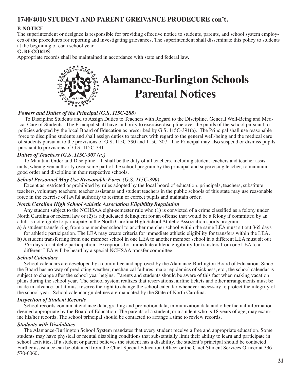## **1740/4010 STUDENT AND PARENT GREIVANCE PRODECURE con't.**

#### **F. NOTICE**

The superintendent or designee is responsible for providing effective notice to students, parents, and school system employees of the procedures for reporting and investigating grievances. The superintendent shall disseminate this policy to students at the beginning of each school year.

#### **G. RECORDS**

Appropriate records shall be maintained in accordance with state and federal law.



#### *Powers and Duties of the Principal (G.S. 115C-288)*

 To Discipline Students and to Assign Duties to Teachers with Regard to the Discipline, General Well-Being and Medical Care of Students--The Principal shall have authority to exercise discipline over the pupils of the school pursuant to policies adopted by the local Board of Education as prescribed by G.S. 115C-391(a). The Principal shall use reasonable force to discipline students and shall assign duties to teachers with regard to the general well-being and the medical care of students pursuant to the provisions of G.S. 115C-390 and 115C-307. The Principal may also suspend or dismiss pupils pursuant to provisions of G.S. 115C-391.

#### *Duties of Teachers (G.S. 115C-307 (a))*

 To Maintain Order and Discipline---It shall be the duty of all teachers, including student teachers and teacher assistants, when given authority over some part of the school program by the principal and supervising teacher, to maintain good order and discipline in their respective schools.

#### *School Personnel May Use Reasonable Force (G.S. 115C-390)*

 Except as restricted or prohibited by rules adopted by the local board of education, principals, teachers, substitute teachers, voluntary teachers, teacher assistants and student teachers in the public schools of this state may use reasonable force in the exercise of lawful authority to restrain or correct pupils and maintain order.

#### *North Carolina High School Athletic Association Eligibility Regulation*

 Any student subject to the NCHSAA eight-semester rule who (1) is convicted of a crime classified as a felony under North Carolina or federal law or (2) is adjudicated delinquent for an offense that would be a felony if committed by an adult is not eligible to participate in the North Carolina High School Athletic Association sports program.

**a)** A student transferring from one member school to another member school within the same LEA must sit out 365 days for athletic participation. The LEA may create criteria for immediate athletic eligibility for transfers within the LEA.

**b)** A student transferring from one member school in one LEA to another member school in a different LEA must sit out 365 days for athletic participation. Exceptions for immediate athletic eligibility for transfers from one LEA to a different LEA will be heard by a special NCHSAA transfer committee.

#### *School Calendars*

 School calendars are developed by a committee and approved by the Alamance-Burlington Board of Education. Since the Board has no way of predicting weather, mechanical failures, major epidemics of sickness, etc., the school calendar is subject to change after the school year begins. Parents and students should be aware of this fact when making vacation plans during the school year. The school system realizes that reservations, airline tickets and other arrangements must be made in advance, but it must reserve the right to change the school calendar whenever necessary to protect the integrity of the school year. School calendar guidelines are mandated by the State of North Carolina.

#### *Inspection of Student Records*

 School records contain attendance data, grading and promotion data, immunization data and other factual information deemed appropriate by the Board of Education. The parents of a student, or a student who is 18 years of age, may examine his/her records. The school principal should be contacted to arrange a time to review records.

#### *Students with Disabilities*

 The Alamance-Burlington School System mandates that every student receive a free and appropriate education. Some students may have physical or mental disabling conditions that substantially limit their ability to learn and participate in school activities. If a student or parent believes the student has a disability, the student's principal should be contacted. Further assistance can be obtained from the Chief Special Education Officer or the Chief Student Services Officer at 336- 570-6060.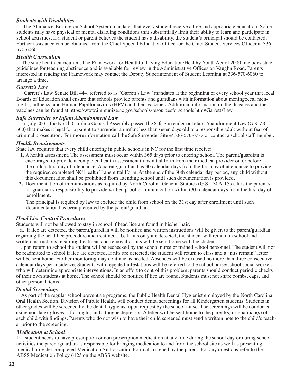#### *Students with Disabilities*

 The Alamance-Burlington School System mandates that every student receive a free and appropriate education. Some students may have physical or mental disabling conditions that substantially limit their ability to learn and participate in school activities. If a student or parent believes the student has a disability, the student's principal should be contacted. Further assistance can be obtained from the Chief Special Education Officer or the Chief Student Services Officer at 336- 570-6060.

#### *Health Curriculum*

 The state health curriculum, The Framework for Healthful Living Education/Healthy Youth Act of 2009, includes state guidelines for teaching abstinence and is available for review in the Administrative Offices on Vaughn Road. Parents interested in reading the Framework may contact the Deputy Superintendent of Student Learning at 336-570-6060 to arrange a time.

#### *Garrett's Law*

 Garrett's Law Senate Bill 444, referred to as "Garrett's Law" mandates at the beginning of every school year that local Boards of Education shall ensure that schools provide parents and guardians with information about meningoccal meningitis, influenza and Human Papillomavirus (HPV) and their vaccines. Additional information on the diseases and the vaccines can be found at https://www.immunize.nc.gov/schools/resourcesforschools.htm#GarrettsLaw

#### *Safe Surrender or Infant Abandonment Law*

 In July 2001, the North Carolina General Assembly passed the Safe Surrender or Infant Abandonment Law (G.S. 7B-500) that makes it legal for a parent to surrender an infant less than seven days old to a responsible adult without fear of criminal prosecution. For more information call the Safe Surrender Site @ 336-570-6777 or contact a school staff member.

#### *Health Requirements*

State law requires that every child entering in public schools in NC for the first time receive:

- **1.** A health assessment. The assessment must occur within 365 days prior to entering school. The parent/guardian is encouraged to provide a completed health assessment transmittal form from their medical provider on or before the child's first day of attendance. A parent/guardian has 30 calendar days from the first day of attendance to provide the required completed NC Health Transmittal Form. At the end of the 30th calendar day period, any child without this documentation shall be prohibited from attending school until such documentation is provided.
- **2.** Documentation of immunizations as required by North Carolina General Statutes (G.S. 130A-155). It is the parent's or guardian's responsibility to provide written proof of immunization within (30) calendar days from the first day of enrollment.

 The principal is required by law to exclude the child from school on the 31st day after enrollment until such documentation has been presented by the parent/guardian.

#### *Head Lice Control Procedures*

Students will not be allowed to stay in school if head lice are found in his/her hair.

 **a.** If lice are detected, the parent/guardian will be notified and written instructions will be given to the parent/guardian regarding the head lice procedure and treatment. **b.** If nits only are detected, the student will remain in school and written instructions regarding treatment and removal of nits will be sent home with the student.

 Upon return to school the student will be rechecked by the school nurse or trained school personnel. The student will not be readmitted to school if lice are detected. If nits are detected, the student will return to class and a "nits remain" letter will be sent home. Further monitoring may continue as needed. Absences will be excused no more than three consecutive calendar days per incidence. Students with repeated infestations will be referred to the school nurse/school social worker, who will determine appropriate interventions. In an effort to control this problem, parents should conduct periodic checks of their own students at home. The school should be notified if lice are found. Students must not share combs, caps, and other personal items.

#### *Dental Screenings*

 As part of the regular school preventive programs, the Public Health Dental Hygienist employed by the North Carolina Oral Health Section, Division of Public Health, will conduct dental screenings for all Kindergarten students. Students in other grades will be screened by the dental hygienist upon request by the school nurse. The screenings will be conducted using non-latex gloves, a flashlight, and a tongue depressor. A letter will be sent home to the parent(s) or guardian(s) of each child with findings. Parents who do not wish to have their child screened must send a written note to the child's teacher prior to the screening.

#### *Medication at School*

If a student needs to have prescription or non prescription medication at any time during the school day or during school activities the parent/guardian is responsible for bringing medication to and from the school site as well as presenting a medical provider completed Medication Authorization Form also signed by the parent. For any questions refer to the ABSS Medication Policy 6125 on the ABSS website.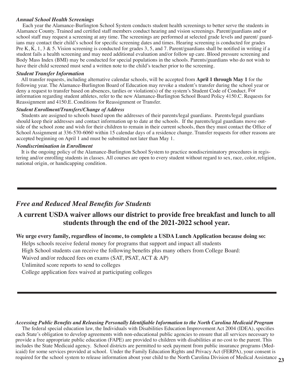#### *Annual School Health Screenings*

 Each year the Alamance-Burlington School System conducts student health screenings to better serve the students in Alamance County. Trained and certified staff members conduct hearing and vision screenings. Parent/guardians and or school staff may request a screening at any time. The screenings are performed at selected grade levels and parent/ guardians may contact their child's school for specific screening dates and times. Hearing screening is conducted for grades Pre K, K, 1, 3 & 5. Vision screening is conducted for grades 3, 5, and 7. Parent/guardians shall be notified in writing if a student fails a health screening and may need additional evaluation and/or follow up care. Blood pressure screening and Body Mass Index (BMI) may be conducted for special populations in the schools. Parents/guardians who do not wish to have their child screened must send a written note to the child's teacher prior to the screening.

#### *Student Transfer Information*

 All transfer requests, including alternative calendar schools, will be accepted from **April 1 through May 1** for the following year. The Alamance-Burlington Board of Education may revoke a student's transfer during the school year or deny a request to transfer based on absences, tardies or violation(s) of the system's Student Code of Conduct. For information regarding student athletes, refer to the new Alamance-Burlington School Board Policy 4150.C. Requests for Reassignment and 4150.E. Conditions for Reassignment or Transfer.

#### *Student Enrollment/Transfers/Change of Address*

 Students are assigned to schools based upon the addresses of their parents/legal guardians. Parents/legal guardians should keep their addresses and contact information up to date at the schools. If the parents/legal guardians move outside of the school zone and wish for their children to remain in their current schools, then they must contact the Office of School Assignment at 336-570-6060 within 15 calendar days of a residence change. Transfer requests for other reasons are accepted beginning on April 1 and must be submitted not later than May 1.

#### *Nondiscrimination in Enrollment*

 It is the ongoing policy of the Alamance-Burlington School System to practice nondiscriminatory procedures in registering and/or enrolling students in classes. All courses are open to every student without regard to sex, race, color, religion, national origin, or handicapping condition.

## *Free and Reduced Meal Benefits for Students*

## **A current USDA waiver allows our district to provide free breakfast and lunch to all students through the end of the 2021-2022 school year.**

## **We urge every family, regardless of income, to complete a USDA Lunch Application because doing so:**

Helps schools receive federal money for programs that support and impact all students

High School students can receive the following benefits plus many others from College Board:

Waived and/or reduced fees on exams (SAT, PSAT, ACT & AP)

Unlimited score reports to send to colleges

College application fees waived at participating colleges

#### *Accessing Public Benefits and Releasing Personally Identifiable Information to the North Carolina Medicaid Program*

The federal special education law, the Individuals with Disabilities Education Improvement Act 2004 (IDEA), specifies each State's obligation to develop agreements with non-educational public agencies to ensure that all services necessary to provide a free appropriate public education (FAPE) are provided to children with disabilities at no cost to the parent. This includes the State Medicaid agency. School districts are permitted to seek payment from public insurance programs (Medicaid) for some services provided at school. Under the Family Education Rights and Privacy Act (FERPA), your consent is required for the school system to release information about your child to the North Carolina Division of Medical Assistance **23**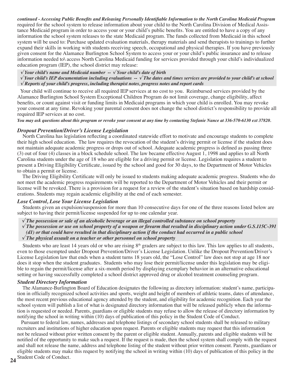continued - Accessing Public Benefits and Releasing Personally Identifiable Information to the North Carolina Medicaid Program required for the school system to release information about your child to the North Carolina Division of Medical Assistance Medicaid program in order to access your or your child's public benefits. You are entitled to have a copy of any information the school system releases to the state Medicaid program. The funds collected from Medicaid in this school system will be used to: Purchase updated evaluation materials, therapy materials and send therapists to trainings to further expand their skills in working with students receiving speech, occupational and physical therapies. If you have previously given consent for the Alamance Burlington School System to access your or your child's public insurance and to release information needed to\ access North Carolina Medicaid funding for services provided through your child's individualized education program (IEP), the school district may release:

 *√ Your child's name and Medicaid number -- √ Your child's date of birth*

 $\sqrt{Y}$  Your child's IEP documentation including evaluations  $-\sqrt{Y}$  The dates and times services are provided to your child's at school  *√ Reports of your child's progress, including therapist notes, progress notes and report cards*

 Your child will continue to receive all required IEP services at no cost to you. Reimbursed services provided by the Alamance Burlington School System Exceptional Children Program do not limit coverage, change eligibility, affect benefits, or count against visit or funding limits in Medicaid programs in which your child is enrolled. You may revoke your consent at any time. Revoking your parental consent does not change the school district's responsibility to provide all required IEP services at no cost.

You may ask questions about this program or revoke your consent at any time by contacting Stefanie Nance at 336-570-6130 ext 37820.

#### *Dropout Prevention/Driver's License Legislation*

 North Carolina has legislation reflecting a coordinated statewide effort to motivate and encourage students to complete their high school education. The law requires the revocation of the student's driving permit or license if the student does not maintain adequate academic progress or drops out of school. Adequate academic progress is defined as passing three (3) out of four (4) classes in a block schedule school. The law became effective August 1, 1998 and applies to all North Carolina students under the age of 18 who are eligible for a driving permit or license. Legislation requires a student to present a Driving Eligibility Certificate, issued by the school and good for 30 days, to the Department of Motor Vehicles to obtain a permit or license.

 The Driving Eligibility Certificate will only be issued to students making adequate academic progress. Students who do not meet the academic progress requirements will be reported to the Department of Motor Vehicles and their permit or license will be revoked. There is a provision for a request for a review of the student's situation based on hardship considerations. Students may regain academic eligibility at the end of each semester.

#### *Lose Control, Lose Your License Legislation*

 Students given an expulsion/suspension for more than 10 consecutive days for one of the three reasons listed below are subject to having their permit/license suspended for up to one calendar year.

- *√ The possession or sale of an alcoholic beverage or an illegal controlled substance on school property*
- $\sqrt{T}$  The possession or use on school property of a weapon or firearm that resulted in disciplinary action under G.S.115C-391 (d1) or that could have resulted in that disciplinary action if the conduct had occurred in a public school

#### *√ The physical assault on a teacher or other personnel on school property*

Students who are least 14 years old or who are rising  $8<sup>th</sup>$  graders are subject to this law. This law applies to all students, even to those exempted under Dropout Prevention/Driver's License Legislation. Unlike the Dropout Prevention/Driver's License Legislation law that ends when a student turns 18 years old, the "Lose Control" law does not stop at age 18 nor does it stop when the student graduates. Students who may lose their permit/license under this legislation may be eligible to regain the permit/license after a six-month period by displaying exemplary behavior in an alternative educational setting or having successfully completed a school district approved drug or alcohol treatment counseling program.

#### *Student Directory Information*

 The Alamance-Burlington Board of Education designates the following as directory information: student's name, participation in officially recognized school activities and sports, weight and height of members of athletic teams, dates of attendance, the most recent previous educational agency attended by the student, and eligibility for academic recognition. Each year the school system will publish a list of what is designated directory information that will be released publicly when the information is requested or needed. Parents, guardians or eligible students may refuse to allow the release of directory information by notifying the school in writing within (10) days of publication of this policy in the Student Code of Conduct.

**24** Student Code of Conduct. Pursuant to federal law, names, addresses and telephone listings of secondary school students shall be released to military recruiters and institutions of higher education upon request. Parents or eligible students may request that this information not be released without prior written consent by the parent or eligible student. Annually, parents and eligible students will be notified of the opportunity to make such a request. If the request is made, then the school system shall comply with the request and shall not release the name, address and telephone listing of the student without prior written consent. Parents, guardians or eligible students may make this request by notifying the school in writing within (10) days of publication of this policy in the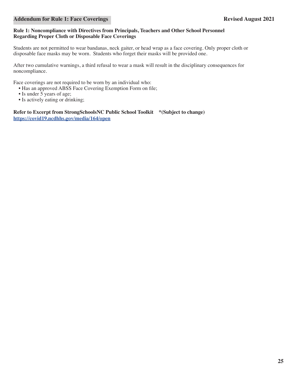#### **Rule 1: Noncompliance with Directives from Principals, Teachers and Other School Personnel Regarding Proper Cloth or Disposable Face Coverings**

Students are not permitted to wear bandanas, neck gaiter, or head wrap as a face covering. Only proper cloth or disposable face masks may be worn. Students who forget their masks will be provided one.

After two cumulative warnings, a third refusal to wear a mask will result in the disciplinary consequences for noncompliance.

Face coverings are not required to be worn by an individual who:

- Has an approved ABSS Face Covering Exemption Form on file;
- Is under 5 years of age;
- Is actively eating or drinking;

**Refer to Excerpt from StrongSchoolsNC Public School Toolkit \*(Subject to change) https://covid19.ncdhhs.gov/media/164/open**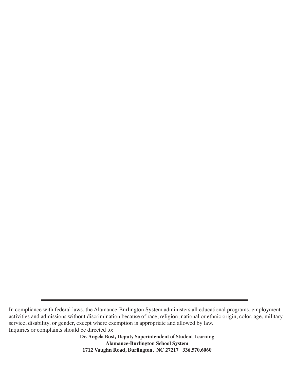**Dr. Angela Bost, Deputy Superintendent of Student Learning Alamance-Burlington School System 1712 Vaughn Road, Burlington, NC 27217 336.570.6060**

In compliance with federal laws, the Alamance-Burlington System administers all educational programs, employment activities and admissions without discrimination because of race, religion, national or ethnic origin, color, age, military service, disability, or gender, except where exemption is appropriate and allowed by law. Inquiries or complaints should be directed to: